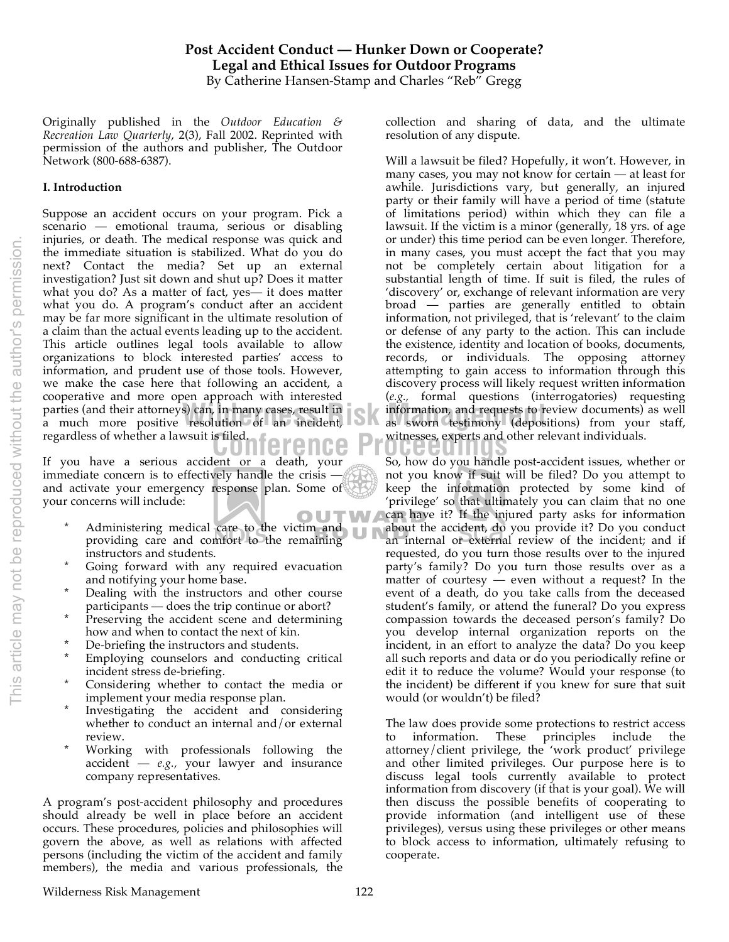# **Post Accident Conduct — Hunker Down or Cooperate? Legal and Ethical Issues for Outdoor Programs** By Catherine Hansen-Stamp and Charles "Reb" Gregg

Originally published in the *Outdoor Education & Recreation Law Quarterly*, 2(3), Fall 2002. Reprinted with permission of the authors and publisher, The Outdoor Network (800-688-6387).

# **I. Introduction**

regardless of whether a lawsuit is filed.<br> **Conference Proceeding a serious assistant of a double way of the serious handle** parties (and their attorneys) can, in many cases, result in **the information**, and requests to r a much more positive resolution of an incident, Suppose an accident occurs on your program. Pick a scenario — emotional trauma, serious or disabling injuries, or death. The medical response was quick and the immediate situation is stabilized. What do you do next? Contact the media? Set up an external investigation? Just sit down and shut up? Does it matter what you do? As a matter of fact, yes— it does matter what you do. A program's conduct after an accident may be far more significant in the ultimate resolution of a claim than the actual events leading up to the accident. This article outlines legal tools available to allow organizations to block interested parties' access to information, and prudent use of those tools. However, we make the case here that following an accident, a cooperative and more open approach with interested parties (and their attorneys) can, in many cases, result in

If you have a serious accident or a death, your immediate concern is to effectively handle the crisis and activate your emergency response plan. Some of your concerns will include:

- OUTWA Administering medical care to the victim and providing care and comfort to the remaining instructors and students.
- \* Going forward with any required evacuation and notifying your home base.
- Dealing with the instructors and other course participants — does the trip continue or abort?
- Preserving the accident scene and determining how and when to contact the next of kin.
- \* De-briefing the instructors and students.
- Employing counselors and conducting critical incident stress de-briefing.
- Considering whether to contact the media or implement your media response plan.
- Investigating the accident and considering whether to conduct an internal and/or external review.
- Working with professionals following the accident — *e.g.,* your lawyer and insurance company representatives.

A program's post-accident philosophy and procedures should already be well in place before an accident occurs. These procedures, policies and philosophies will govern the above, as well as relations with affected persons (including the victim of the accident and family members), the media and various professionals, the collection and sharing of data, and the ultimate resolution of any dispute.

Will a lawsuit be filed? Hopefully, it won't. However, in many cases, you may not know for certain — at least for awhile. Jurisdictions vary, but generally, an injured party or their family will have a period of time (statute of limitations period) within which they can file a lawsuit. If the victim is a minor (generally, 18 yrs. of age or under) this time period can be even longer. Therefore, in many cases, you must accept the fact that you may not be completely certain about litigation for a substantial length of time. If suit is filed, the rules of 'discovery' or, exchange of relevant information are very broad — parties are generally entitled to obtain information, not privileged, that is 'relevant' to the claim or defense of any party to the action. This can include the existence, identity and location of books, documents, records, or individuals. The opposing attorney attempting to gain access to information through this discovery process will likely request written information (*e.g.,* formal questions (interrogatories) requesting information, and requests to review documents) as well as sworn testimony (depositions) from your staff, witnesses, experts and other relevant individuals.

So, how do you handle post-accident issues, whether or not you know if suit will be filed? Do you attempt to keep the information protected by some kind of 'privilege' so that ultimately you can claim that no one can have it? If the injured party asks for information about the accident, do you provide it? Do you conduct an internal or external review of the incident; and if requested, do you turn those results over to the injured party's family? Do you turn those results over as a matter of courtesy — even without a request? In the event of a death, do you take calls from the deceased student's family, or attend the funeral? Do you express compassion towards the deceased person's family? Do you develop internal organization reports on the incident, in an effort to analyze the data? Do you keep all such reports and data or do you periodically refine or edit it to reduce the volume? Would your response (to the incident) be different if you knew for sure that suit would (or wouldn't) be filed?

The law does provide some protections to restrict access to information. These principles include the attorney/client privilege, the 'work product' privilege and other limited privileges. Our purpose here is to discuss legal tools currently available to protect information from discovery (if that is your goal). We will then discuss the possible benefits of cooperating to provide information (and intelligent use of these privileges), versus using these privileges or other means to block access to information, ultimately refusing to cooperate.

#### Wilderness Risk Management 122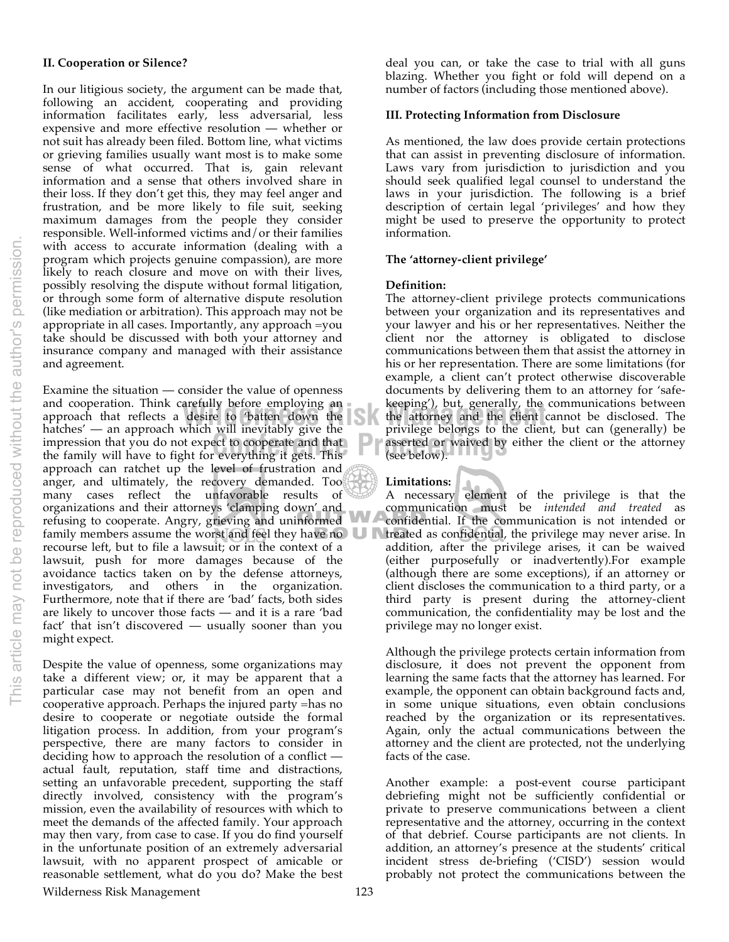### **II. Cooperation or Silence?**

In our litigious society, the argument can be made that, following an accident, cooperating and providing information facilitates early, less adversarial, less expensive and more effective resolution — whether or not suit has already been filed. Bottom line, what victims or grieving families usually want most is to make some sense of what occurred. That is, gain relevant information and a sense that others involved share in their loss. If they don't get this, they may feel anger and frustration, and be more likely to file suit, seeking maximum damages from the people they consider responsible. Well-informed victims and/or their families with access to accurate information (dealing with a program which projects genuine compassion), are more likely to reach closure and move on with their lives, possibly resolving the dispute without formal litigation, or through some form of alternative dispute resolution (like mediation or arbitration). This approach may not be appropriate in all cases. Importantly, any approach =you take should be discussed with both your attorney and insurance company and managed with their assistance and agreement.

impression that you do not expect to cooperate and that<br>
the family will have to fight for everything it gets. This<br>
(see below). and cooperation. Think carefully before employing an **the seeping**), but, generally, the approach that reflects a desire to 'batten down the **the attorney and the client** of the attorney and the client of the client of the Examine the situation — consider the value of openness and cooperation. Think carefully before employing an hatches' — an approach which will inevitably give the the family will have to fight for everything it gets. This approach can ratchet up the level of frustration and anger, and ultimately, the recovery demanded. Too many cases reflect the unfavorable results of organizations and their attorneys 'clamping down' and refusing to cooperate. Angry, grieving and uninformed family members assume the worst and feel they have no  $\Box$ recourse left, but to file a lawsuit; or in the context of a lawsuit, push for more damages because of the avoidance tactics taken on by the defense attorneys, investigators, and others in the organization. Furthermore, note that if there are 'bad' facts, both sides are likely to uncover those facts — and it is a rare 'bad fact' that isn't discovered — usually sooner than you might expect.

Despite the value of openness, some organizations may take a different view; or, it may be apparent that a particular case may not benefit from an open and cooperative approach. Perhaps the injured party =has no desire to cooperate or negotiate outside the formal litigation process. In addition, from your program's perspective, there are many factors to consider in deciding how to approach the resolution of a conflict actual fault, reputation, staff time and distractions, setting an unfavorable precedent, supporting the staff directly involved, consistency with the program's mission, even the availability of resources with which to meet the demands of the affected family. Your approach may then vary, from case to case. If you do find yourself in the unfortunate position of an extremely adversarial lawsuit, with no apparent prospect of amicable or reasonable settlement, what do you do? Make the best

deal you can, or take the case to trial with all guns blazing. Whether you fight or fold will depend on a number of factors (including those mentioned above).

#### **III. Protecting Information from Disclosure**

As mentioned, the law does provide certain protections that can assist in preventing disclosure of information. Laws vary from jurisdiction to jurisdiction and you should seek qualified legal counsel to understand the laws in your jurisdiction. The following is a brief description of certain legal 'privileges' and how they might be used to preserve the opportunity to protect information.

#### **The 'attorney-client privilege'**

### **Definition:**

The attorney-client privilege protects communications between your organization and its representatives and your lawyer and his or her representatives. Neither the client nor the attorney is obligated to disclose communications between them that assist the attorney in his or her representation. There are some limitations (for example, a client can't protect otherwise discoverable documents by delivering them to an attorney for 'safekeeping'), but, generally, the communications between the attorney and the client cannot be disclosed. The privilege belongs to the client, but can (generally) be asserted or waived by either the client or the attorney (see below).

## **Limitations:**

п

A necessary element of the privilege is that the communication must be *intended and treated* as confidential. If the communication is not intended or treated as confidential, the privilege may never arise. In addition, after the privilege arises, it can be waived (either purposefully or inadvertently).For example (although there are some exceptions), if an attorney or client discloses the communication to a third party, or a third party is present during the attorney-client communication, the confidentiality may be lost and the privilege may no longer exist.

Although the privilege protects certain information from disclosure, it does not prevent the opponent from learning the same facts that the attorney has learned. For example, the opponent can obtain background facts and, in some unique situations, even obtain conclusions reached by the organization or its representatives. Again, only the actual communications between the attorney and the client are protected, not the underlying facts of the case.

Another example: a post-event course participant debriefing might not be sufficiently confidential or private to preserve communications between a client representative and the attorney, occurring in the context of that debrief. Course participants are not clients. In addition, an attorney's presence at the students' critical incident stress de-briefing ('CISD') session would probably not protect the communications between the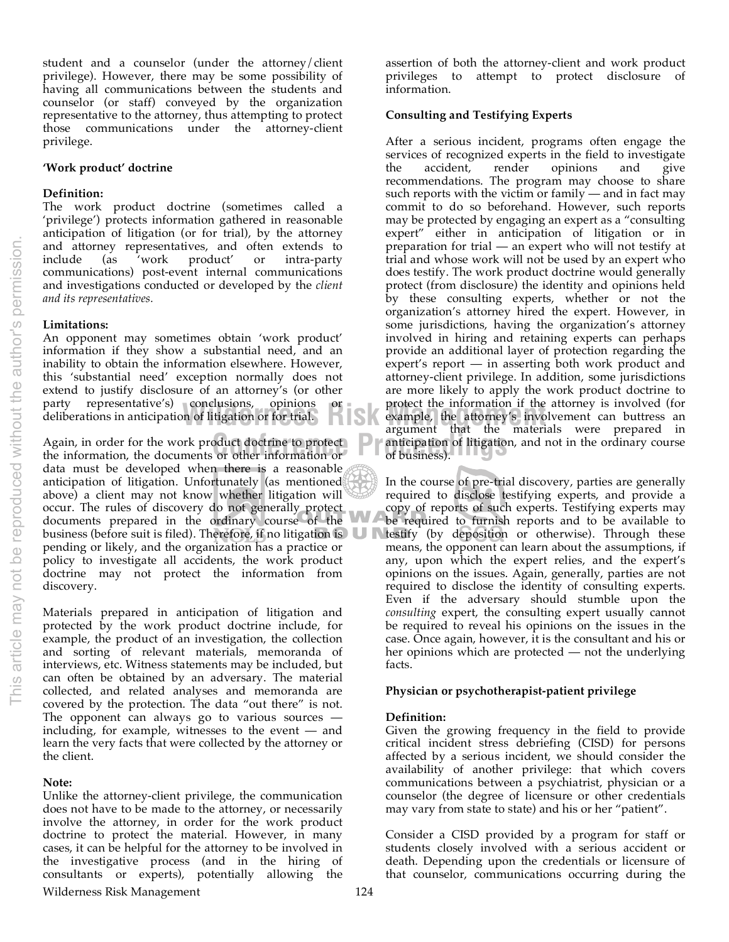student and a counselor (under the attorney/client privilege). However, there may be some possibility of having all communications between the students and counselor (or staff) conveyed by the organization representative to the attorney, thus attempting to protect those communications under the attorney-client privilege.

### **'Work product' doctrine**

### **Definition:**

The work product doctrine (sometimes called a 'privilege') protects information gathered in reasonable anticipation of litigation (or for trial), by the attorney and attorney representatives, and often extends to include (as 'work product' or intra-party include (as 'work product' or intra-party communications) post-event internal communications and investigations conducted or developed by the *client and its representatives.*

## **Limitations:**

An opponent may sometimes obtain 'work product' information if they show a substantial need, and an inability to obtain the information elsewhere. However, this 'substantial need' exception normally does not extend to justify disclosure of an attorney's (or other party representative's) conclusions, opinions deliberations in anticipation of litigation or for trial.

Again, in order for the work product doctrine to protect<br>the information, the documents or other information or<br>of business). the information, the documents or other information or data must be developed when there is a reasonable anticipation of litigation. Unfortunately (as mentioned above) a client may not know whether litigation will occur. The rules of discovery do not generally protect documents prepared in the ordinary course of the business (before suit is filed). Therefore, if no litigation is **U** pending or likely, and the organization has a practice or policy to investigate all accidents, the work product doctrine may not protect the information from discovery.

Materials prepared in anticipation of litigation and protected by the work product doctrine include, for example, the product of an investigation, the collection and sorting of relevant materials, memoranda of interviews, etc. Witness statements may be included, but can often be obtained by an adversary. The material collected, and related analyses and memoranda are covered by the protection. The data "out there" is not. The opponent can always go to various sources including, for example, witnesses to the event — and learn the very facts that were collected by the attorney or the client.

#### **Note:**

Unlike the attorney-client privilege, the communication does not have to be made to the attorney, or necessarily involve the attorney, in order for the work product doctrine to protect the material. However, in many cases, it can be helpful for the attorney to be involved in the investigative process (and in the hiring of consultants or experts), potentially allowing the

assertion of both the attorney-client and work product privileges to attempt to protect disclosure of information.

### **Consulting and Testifying Experts**

**CONCIUSIONS, OPINIONS or protect the information if the attorney is involved (for**<br> **Wilder Solution** example, the attorney's involvement can buttress an<br>
aroument that the materials were prepared in After a serious incident, programs often engage the services of recognized experts in the field to investigate the accident, render opinions and give recommendations. The program may choose to share such reports with the victim or family  $-$  and in fact may commit to do so beforehand. However, such reports may be protected by engaging an expert as a "consulting expert" either in anticipation of litigation or in preparation for trial — an expert who will not testify at trial and whose work will not be used by an expert who does testify. The work product doctrine would generally protect (from disclosure) the identity and opinions held by these consulting experts, whether or not the organization's attorney hired the expert. However, in some jurisdictions, having the organization's attorney involved in hiring and retaining experts can perhaps provide an additional layer of protection regarding the expert's report — in asserting both work product and attorney-client privilege. In addition, some jurisdictions are more likely to apply the work product doctrine to protect the information if the attorney is involved (for argument that the materials were prepared in anticipation of litigation, and not in the ordinary course of business).

> In the course of pre-trial discovery, parties are generally required to disclose testifying experts, and provide a copy of reports of such experts. Testifying experts may be required to furnish reports and to be available to testify (by deposition or otherwise). Through these means, the opponent can learn about the assumptions, if any, upon which the expert relies, and the expert's opinions on the issues. Again, generally, parties are not required to disclose the identity of consulting experts. Even if the adversary should stumble upon the *consulting* expert, the consulting expert usually cannot be required to reveal his opinions on the issues in the case. Once again, however, it is the consultant and his or her opinions which are protected — not the underlying facts.

## **Physician or psychotherapist-patient privilege**

## **Definition:**

Given the growing frequency in the field to provide critical incident stress debriefing (CISD) for persons affected by a serious incident, we should consider the availability of another privilege: that which covers communications between a psychiatrist, physician or a counselor (the degree of licensure or other credentials may vary from state to state) and his or her "patient".

Consider a CISD provided by a program for staff or students closely involved with a serious accident or death. Depending upon the credentials or licensure of that counselor, communications occurring during the